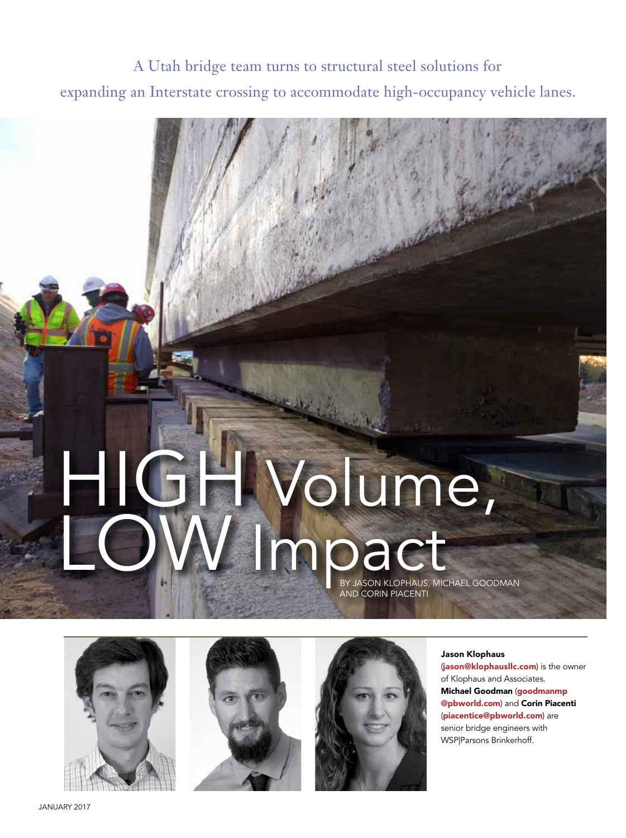## A Utah bridge team turns to structural steel solutions for expanding an Interstate crossing to accommodate high-occupancy vehicle lanes.

# HIGH Volume, LOW Impact AND CORIN PIACENTI







#### Jason Klophaus

(jason@klophauslic.com) is the owner of Klophaus and Associates. Michael Goodman (goodmanmp @pbworld.com) and Corin Piacenti (piacentice@pbworld.com) are senior bridge engineers with WSP|Parsons Brinkerhoff.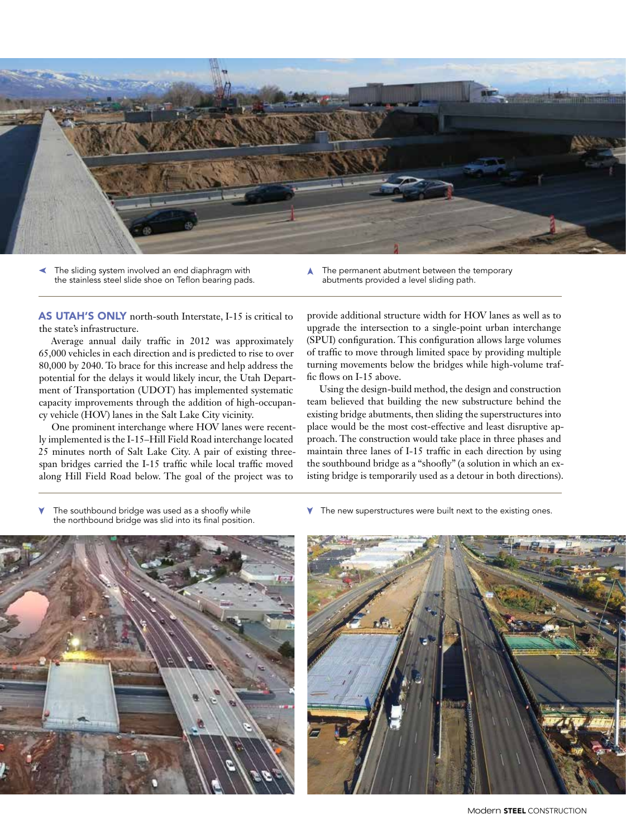

The sliding system involved an end diaphragm with the stainless steel slide shoe on Teflon bearing pads. The permanent abutment between the temporary abutments provided a level sliding path.

AS UTAH'S ONLY north-south Interstate, I-15 is critical to the state's infrastructure.

Average annual daily traffic in 2012 was approximately 65,000 vehicles in each direction and is predicted to rise to over 80,000 by 2040. To brace for this increase and help address the potential for the delays it would likely incur, the Utah Department of Transportation (UDOT) has implemented systematic capacity improvements through the addition of high-occupancy vehicle (HOV) lanes in the Salt Lake City vicinity.

One prominent interchange where HOV lanes were recently implemented is the I-15–Hill Field Road interchange located 25 minutes north of Salt Lake City. A pair of existing threespan bridges carried the I-15 traffic while local traffic moved along Hill Field Road below. The goal of the project was to

provide additional structure width for HOV lanes as well as to upgrade the intersection to a single-point urban interchange (SPUI) configuration. This configuration allows large volumes of traffic to move through limited space by providing multiple turning movements below the bridges while high-volume traffic flows on I-15 above.

Using the design-build method, the design and construction team believed that building the new substructure behind the existing bridge abutments, then sliding the superstructures into place would be the most cost-effective and least disruptive approach. The construction would take place in three phases and maintain three lanes of I-15 traffic in each direction by using the southbound bridge as a "shoofly" (a solution in which an existing bridge is temporarily used as a detour in both directions).

The southbound bridge was used as a shoofly while the northbound bridge was slid into its final position.



 $\blacktriangledown$  The new superstructures were built next to the existing ones.



Modern **STEEL** CONSTRUCTION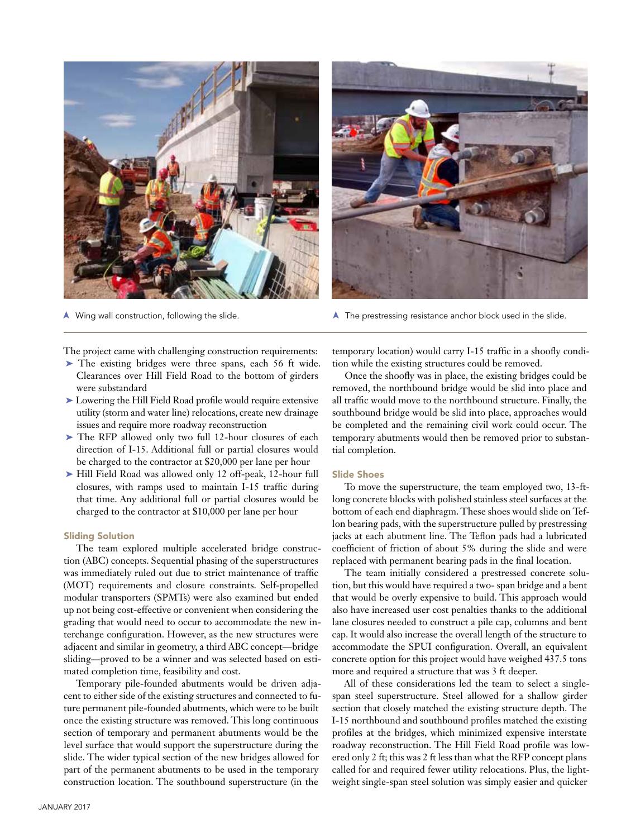

N Wing wall construction, following the slide.

The project came with challenging construction requirements:

- ➤ The existing bridges were three spans, each 56 ft wide. Clearances over Hill Field Road to the bottom of girders were substandard
- ➤ Lowering the Hill Field Road profile would require extensive utility (storm and water line) relocations, create new drainage issues and require more roadway reconstruction
- ▶ The RFP allowed only two full 12-hour closures of each direction of I-15. Additional full or partial closures would be charged to the contractor at \$20,000 per lane per hour
- ➤ Hill Field Road was allowed only 12 off-peak, 12-hour full closures, with ramps used to maintain I-15 traffic during that time. Any additional full or partial closures would be charged to the contractor at \$10,000 per lane per hour

#### Sliding Solution

The team explored multiple accelerated bridge construction (ABC) concepts. Sequential phasing of the superstructures was immediately ruled out due to strict maintenance of traffic (MOT) requirements and closure constraints. Self-propelled modular transporters (SPMTs) were also examined but ended up not being cost-effective or convenient when considering the grading that would need to occur to accommodate the new interchange configuration. However, as the new structures were adjacent and similar in geometry, a third ABC concept—bridge sliding—proved to be a winner and was selected based on estimated completion time, feasibility and cost.

Temporary pile-founded abutments would be driven adjacent to either side of the existing structures and connected to future permanent pile-founded abutments, which were to be built once the existing structure was removed. This long continuous section of temporary and permanent abutments would be the level surface that would support the superstructure during the slide. The wider typical section of the new bridges allowed for part of the permanent abutments to be used in the temporary construction location. The southbound superstructure (in the



 $\blacktriangle$  The prestressing resistance anchor block used in the slide.

temporary location) would carry I-15 traffic in a shoofly condition while the existing structures could be removed.

Once the shoofly was in place, the existing bridges could be removed, the northbound bridge would be slid into place and all traffic would move to the northbound structure. Finally, the southbound bridge would be slid into place, approaches would be completed and the remaining civil work could occur. The temporary abutments would then be removed prior to substantial completion.

#### Slide Shoes

To move the superstructure, the team employed two, 13-ftlong concrete blocks with polished stainless steel surfaces at the bottom of each end diaphragm. These shoes would slide on Teflon bearing pads, with the superstructure pulled by prestressing jacks at each abutment line. The Teflon pads had a lubricated coefficient of friction of about 5% during the slide and were replaced with permanent bearing pads in the final location.

The team initially considered a prestressed concrete solution, but this would have required a two- span bridge and a bent that would be overly expensive to build. This approach would also have increased user cost penalties thanks to the additional lane closures needed to construct a pile cap, columns and bent cap. It would also increase the overall length of the structure to accommodate the SPUI configuration. Overall, an equivalent concrete option for this project would have weighed 437.5 tons more and required a structure that was 3 ft deeper.

All of these considerations led the team to select a singlespan steel superstructure. Steel allowed for a shallow girder section that closely matched the existing structure depth. The I-15 northbound and southbound profiles matched the existing profiles at the bridges, which minimized expensive interstate roadway reconstruction. The Hill Field Road profile was lowered only 2 ft; this was 2 ft less than what the RFP concept plans called for and required fewer utility relocations. Plus, the lightweight single-span steel solution was simply easier and quicker